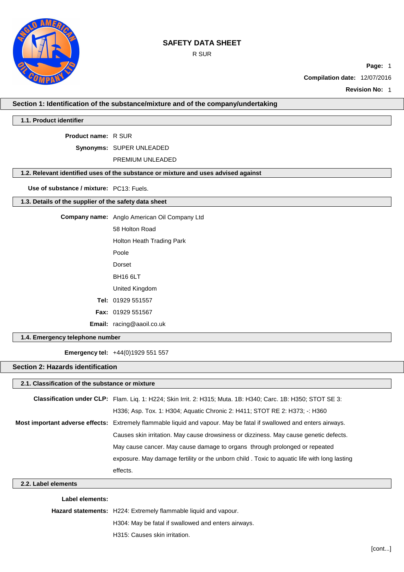R SUR



**Compilation date:** 12/07/2016

**Revision No:** 1

**Section 1: Identification of the substance/mixture and of the company/undertaking**

### **1.1. Product identifier**

**Product name:** R SUR

**Synonyms:** SUPER UNLEADED

PREMIUM UNLEADED

### **1.2. Relevant identified uses of the substance or mixture and uses advised against**

**Use of substance / mixture:** PC13: Fuels.

### **1.3. Details of the supplier of the safety data sheet**

|                                 | <b>Company name:</b> Anglo American Oil Company Ltd |  |  |
|---------------------------------|-----------------------------------------------------|--|--|
|                                 | 58 Holton Road                                      |  |  |
|                                 | Holton Heath Trading Park                           |  |  |
|                                 | Poole                                               |  |  |
|                                 | Dorset                                              |  |  |
|                                 | BH <sub>16</sub> 6LT                                |  |  |
|                                 | United Kingdom                                      |  |  |
|                                 | Tel: 01929 551557                                   |  |  |
|                                 | <b>Fax: 01929 551567</b>                            |  |  |
|                                 | <b>Email:</b> racing@aaoil.co.uk                    |  |  |
| 1.4. Emergency telephone number |                                                     |  |  |

**Emergency tel:** +44(0)1929 551 557

## **Section 2: Hazards identification**

## **2.1. Classification of the substance or mixture**

| <b>Classification under CLP:</b> Flam. Lig. 1: H224: Skin Irrit. 2: H315: Muta. 1B: H340: Carc. 1B: H350: STOT SE 3: |
|----------------------------------------------------------------------------------------------------------------------|
| H336; Asp. Tox. 1: H304; Aquatic Chronic 2: H411; STOT RE 2: H373; -: H360                                           |
| Most important adverse effects: Extremely flammable liquid and vapour. May be fatal if swallowed and enters airways. |
| Causes skin irritation. May cause drowsiness or dizziness. May cause genetic defects.                                |
| May cause cancer. May cause damage to organs through prolonged or repeated                                           |
| exposure. May damage fertility or the unborn child . Toxic to aquatic life with long lasting                         |
| effects.                                                                                                             |

**2.2. Label elements**

### **Label elements:**

**Hazard statements:** H224: Extremely flammable liquid and vapour.

H304: May be fatal if swallowed and enters airways.

H315: Causes skin irritation.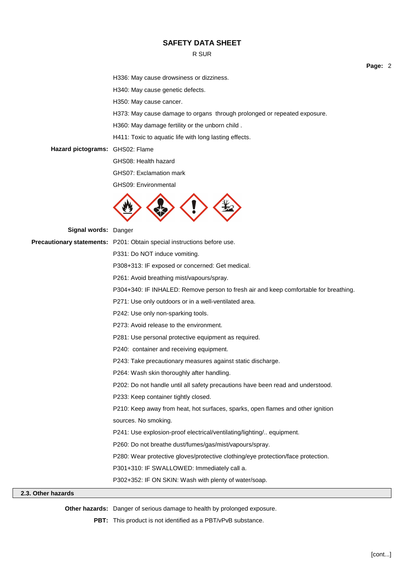### R SUR

**Page:** 2

H336: May cause drowsiness or dizziness.

H340: May cause genetic defects.

H350: May cause cancer.

H373: May cause damage to organs through prolonged or repeated exposure.

H360: May damage fertility or the unborn child .

H411: Toxic to aquatic life with long lasting effects.

**Hazard pictograms:** GHS02: Flame

GHS08: Health hazard

GHS07: Exclamation mark

GHS09: Environmental



**Signal words:** Danger

| <b>Signal words: Danger</b> |                                                                                      |
|-----------------------------|--------------------------------------------------------------------------------------|
|                             | Precautionary statements: P201: Obtain special instructions before use.              |
|                             | P331: Do NOT induce vomiting.                                                        |
|                             | P308+313: IF exposed or concerned: Get medical.                                      |
|                             | P261: Avoid breathing mist/vapours/spray.                                            |
|                             | P304+340: IF INHALED: Remove person to fresh air and keep comfortable for breathing. |
|                             | P271: Use only outdoors or in a well-ventilated area.                                |
|                             | P242: Use only non-sparking tools.                                                   |
|                             | P273: Avoid release to the environment.                                              |
|                             | P281: Use personal protective equipment as required.                                 |
|                             | P240: container and receiving equipment.                                             |
|                             | P243: Take precautionary measures against static discharge.                          |
|                             | P264: Wash skin thoroughly after handling.                                           |
|                             | P202: Do not handle until all safety precautions have been read and understood.      |
|                             | P233: Keep container tightly closed.                                                 |
|                             | P210: Keep away from heat, hot surfaces, sparks, open flames and other ignition      |
|                             | sources. No smoking.                                                                 |
|                             | P241: Use explosion-proof electrical/ventilating/lighting/ equipment.                |
|                             | P260: Do not breathe dust/fumes/gas/mist/vapours/spray.                              |
|                             | P280: Wear protective gloves/protective clothing/eye protection/face protection.     |
|                             | P301+310: IF SWALLOWED: Immediately call a.                                          |
|                             | P302+352: IF ON SKIN: Wash with plenty of water/soap.                                |
|                             |                                                                                      |

## **2.3. Other hazards**

**Other hazards:** Danger of serious damage to health by prolonged exposure.

**PBT:** This product is not identified as a PBT/vPvB substance.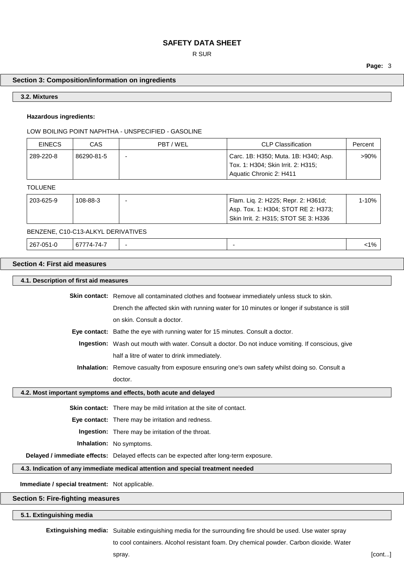### R SUR

**Page:** 3

### **Section 3: Composition/information on ingredients**

#### **3.2. Mixtures**

### **Hazardous ingredients:**

#### LOW BOILING POINT NAPHTHA - UNSPECIFIED - GASOLINE

| <b>EINECS</b> | CAS        | PBT / WEL | CLP Classification                   | Percent |
|---------------|------------|-----------|--------------------------------------|---------|
| 289-220-8     | 86290-81-5 | -         | Carc. 1B: H350; Muta. 1B: H340; Asp. | >90%    |
|               |            |           | Tox. 1: H304; Skin Irrit. 2: H315;   |         |
|               |            |           | Aquatic Chronic 2: H411              |         |

#### TOLUENE

| 203-625-9 | 108-88-3 | Flam. Lig. 2: H225; Repr. 2: H361d;  | 1-10% |
|-----------|----------|--------------------------------------|-------|
|           |          | Asp. Tox. 1: H304; STOT RE 2: H373;  |       |
|           |          | Skin Irrit. 2: H315; STOT SE 3: H336 |       |

### BENZENE, C10-C13-ALKYL DERIVATIVES

| 267-051-0 | 67774-74-7<br>ю, |  |  | $1\%$ |  |
|-----------|------------------|--|--|-------|--|
|-----------|------------------|--|--|-------|--|

## **Section 4: First aid measures**

### **4.1. Description of first aid measures**

Skin contact: Remove all contaminated clothes and footwear immediately unless stuck to skin.

Drench the affected skin with running water for 10 minutes or longer if substance is still on skin. Consult a doctor.

**Eye contact:** Bathe the eye with running water for 15 minutes. Consult a doctor.

**Ingestion:** Wash out mouth with water. Consult a doctor. Do not induce vomiting. If conscious, give half a litre of water to drink immediately.

**Inhalation:** Remove casualty from exposure ensuring one's own safety whilst doing so. Consult a doctor.

#### **4.2. Most important symptoms and effects, both acute and delayed**

**Skin contact:** There may be mild irritation at the site of contact.

**Eye contact:** There may be irritation and redness.

**Ingestion:** There may be irritation of the throat.

**Inhalation:** No symptoms.

**Delayed / immediate effects:** Delayed effects can be expected after long-term exposure.

### **4.3. Indication of any immediate medical attention and special treatment needed**

**Immediate / special treatment:** Not applicable.

### **Section 5: Fire-fighting measures**

### **5.1. Extinguishing media**

**Extinguishing media:** Suitable extinguishing media for the surrounding fire should be used. Use water spray

to cool containers. Alcohol resistant foam. Dry chemical powder. Carbon dioxide. Water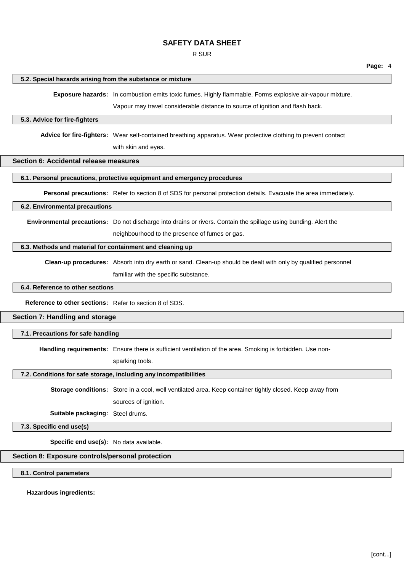R SUR

#### **5.2. Special hazards arising from the substance or mixture**

**Exposure hazards:** In combustion emits toxic fumes. Highly flammable. Forms explosive air-vapour mixture.

Vapour may travel considerable distance to source of ignition and flash back.

#### **5.3. Advice for fire-fighters**

**Advice for fire-fighters:** Wear self-contained breathing apparatus. Wear protective clothing to prevent contact with skin and eyes.

### **Section 6: Accidental release measures**

#### **6.1. Personal precautions, protective equipment and emergency procedures**

**Personal precautions:** Refer to section 8 of SDS for personal protection details. Evacuate the area immediately.

## **6.2. Environmental precautions**

**Environmental precautions:** Do not discharge into drains or rivers. Contain the spillage using bunding. Alert the neighbourhood to the presence of fumes or gas.

#### **6.3. Methods and material for containment and cleaning up**

**Clean-up procedures:** Absorb into dry earth or sand. Clean-up should be dealt with only by qualified personnel familiar with the specific substance.

#### **6.4. Reference to other sections**

**Reference to other sections:** Refer to section 8 of SDS.

### **Section 7: Handling and storage**

#### **7.1. Precautions for safe handling**

**Handling requirements:** Ensure there is sufficient ventilation of the area. Smoking is forbidden. Use non-

sparking tools.

### **7.2. Conditions for safe storage, including any incompatibilities**

**Storage conditions:** Store in a cool, well ventilated area. Keep container tightly closed. Keep away from sources of ignition.

**Suitable packaging:** Steel drums.

**7.3. Specific end use(s)**

**Specific end use(s):** No data available.

### **Section 8: Exposure controls/personal protection**

**8.1. Control parameters**

#### **Hazardous ingredients:**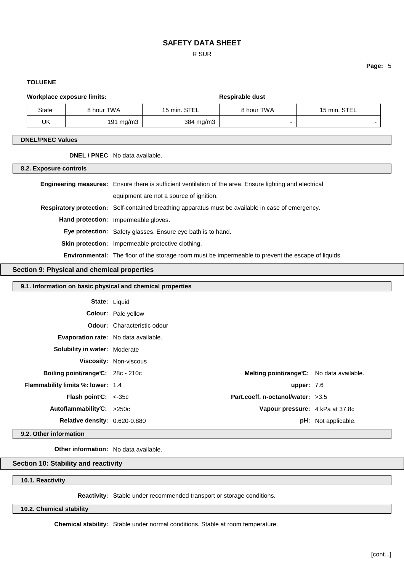### R SUR

### **TOLUENE**

**Page:** 5

| <b>Workplace exposure limits:</b> |            | <b>Respirable dust</b> |            |  |
|-----------------------------------|------------|------------------------|------------|--|
|                                   | 8 hour TWA | 15 min.                | 8 hour TWA |  |

| State | 8 hour TWA   | 15 min. STEL | 8 hour TWA | 15 min. STEL |
|-------|--------------|--------------|------------|--------------|
| UK    | 191 mg/m $3$ | 384 mg/m3    |            |              |

### **DNEL/PNEC Values**

**DNEL / PNEC** No data available.

## **8.2. Exposure controls**

| <b>Engineering measures:</b> Ensure there is sufficient ventilation of the area. Ensure lighting and electrical |
|-----------------------------------------------------------------------------------------------------------------|
| equipment are not a source of ignition.                                                                         |
| Respiratory protection: Self-contained breathing apparatus must be available in case of emergency.              |
| <b>Hand protection:</b> Impermeable gloves.                                                                     |
| <b>Eye protection:</b> Safety glasses. Ensure eye bath is to hand.                                              |
| <b>Skin protection:</b> Impermeable protective clothing.                                                        |
| <b>Environmental:</b> The floor of the storage room must be impermeable to prevent the escape of liquids.       |

### **Section 9: Physical and chemical properties**

## **9.1. Information on basic physical and chemical properties**

|                                                       | <b>State: Liquid</b>               |              |                                           |
|-------------------------------------------------------|------------------------------------|--------------|-------------------------------------------|
|                                                       | <b>Colour:</b> Pale yellow         |              |                                           |
|                                                       | <b>Odour:</b> Characteristic odour |              |                                           |
| Evaporation rate: No data available.                  |                                    |              |                                           |
| <b>Solubility in water: Moderate</b>                  |                                    |              |                                           |
|                                                       | Viscosity: Non-viscous             |              |                                           |
| <b>Boiling point/range <math>C: 28c - 210c</math></b> |                                    |              | Melting point/range C: No data available. |
| <b>Flammability limits %: lower: 1.4</b>              |                                    | upper: $7.6$ |                                           |
| <b>Flash point <math>C: &lt; -35c</math></b>          | Part.coeff. n-octanol/water: >3.5  |              |                                           |
| Autoflammability $C: >250c$                           |                                    |              | Vapour pressure: 4 kPa at 37.8c           |
| <b>Relative density: 0.620-0.880</b>                  |                                    |              | <b>pH:</b> Not applicable.                |

## **9.2. Other information**

**Other information:** No data available.

### **Section 10: Stability and reactivity**

**10.1. Reactivity**

**Reactivity:** Stable under recommended transport or storage conditions.

**10.2. Chemical stability**

**Chemical stability:** Stable under normal conditions. Stable at room temperature.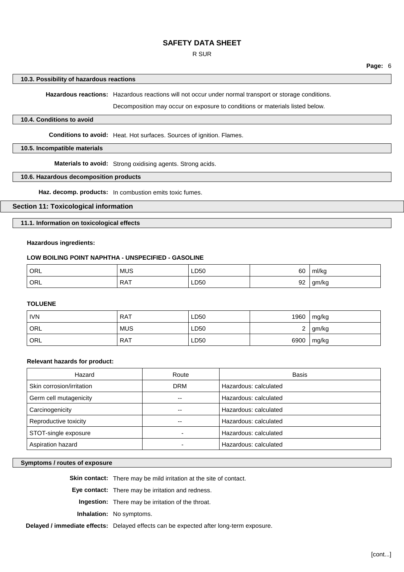### R SUR

**Page:** 6

#### **10.3. Possibility of hazardous reactions**

**Hazardous reactions:** Hazardous reactions will not occur under normal transport or storage conditions.

Decomposition may occur on exposure to conditions or materials listed below.

### **10.4. Conditions to avoid**

**Conditions to avoid:** Heat. Hot surfaces. Sources of ignition. Flames.

### **10.5. Incompatible materials**

**Materials to avoid:** Strong oxidising agents. Strong acids.

### **10.6. Hazardous decomposition products**

**Haz. decomp. products:** In combustion emits toxic fumes.

### **Section 11: Toxicological information**

**11.1. Information on toxicological effects**

### **Hazardous ingredients:**

### **LOW BOILING POINT NAPHTHA - UNSPECIFIED - GASOLINE**

| ORL | <b>MUS</b> | LD50         | 60 | ml/ka             |
|-----|------------|--------------|----|-------------------|
| ORL | <b>RAT</b> | LD50<br>$ -$ | 92 | am/ka<br>'NU<br>◡ |

### **TOLUENE**

| <b>IVN</b> | <b>RAT</b> | LD50 |        | 1960   mg/kg |
|------------|------------|------|--------|--------------|
| ORL        | <b>MUS</b> | LD50 | ົ<br>∼ | gm/kg        |
| ORL        | <b>RAT</b> | LD50 |        | 6900   mg/kg |

#### **Relevant hazards for product:**

| Hazard                    | Route      | <b>Basis</b>          |
|---------------------------|------------|-----------------------|
| Skin corrosion/irritation | <b>DRM</b> | Hazardous: calculated |
| Germ cell mutagenicity    | --         | Hazardous: calculated |
| Carcinogenicity           | --         | Hazardous: calculated |
| Reproductive toxicity     | --         | Hazardous: calculated |
| STOT-single exposure      |            | Hazardous: calculated |
| Aspiration hazard         |            | Hazardous: calculated |

#### **Symptoms / routes of exposure**

**Skin contact:** There may be mild irritation at the site of contact.

**Eye contact:** There may be irritation and redness.

**Ingestion:** There may be irritation of the throat.

**Inhalation:** No symptoms.

**Delayed / immediate effects:** Delayed effects can be expected after long-term exposure.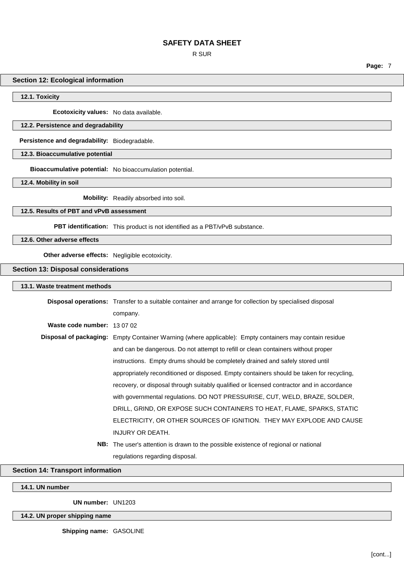R SUR

**Page:** 7

#### **Section 12: Ecological information**

**12.1. Toxicity**

**Ecotoxicity values:** No data available.

#### **12.2. Persistence and degradability**

**Persistence and degradability:** Biodegradable.

**12.3. Bioaccumulative potential**

**Bioaccumulative potential:** No bioaccumulation potential.

**12.4. Mobility in soil**

**Mobility:** Readily absorbed into soil.

### **12.5. Results of PBT and vPvB assessment**

**PBT identification:** This product is not identified as a PBT/vPvB substance.

**12.6. Other adverse effects**

**Other adverse effects:** Negligible ecotoxicity.

#### **Section 13: Disposal considerations**

# **13.1. Waste treatment methods Disposal operations:** Transfer to a suitable container and arrange for collection by specialised disposal company. **Waste code number:** 13 07 02 **Disposal of packaging:** Empty Container Warning (where applicable): Empty containers may contain residue and can be dangerous. Do not attempt to refill or clean containers without proper instructions. Empty drums should be completely drained and safely stored until appropriately reconditioned or disposed. Empty containers should be taken for recycling, recovery, or disposal through suitably qualified or licensed contractor and in accordance with governmental regulations. DO NOT PRESSURISE, CUT, WELD, BRAZE, SOLDER, DRILL, GRIND, OR EXPOSE SUCH CONTAINERS TO HEAT, FLAME, SPARKS, STATIC ELECTRICITY, OR OTHER SOURCES OF IGNITION. THEY MAY EXPLODE AND CAUSE INJURY OR DEATH. **NB:** The user's attention is drawn to the possible existence of regional or national regulations regarding disposal.

#### **Section 14: Transport information**

**14.1. UN number**

**UN number:** UN1203

**14.2. UN proper shipping name**

**Shipping name:** GASOLINE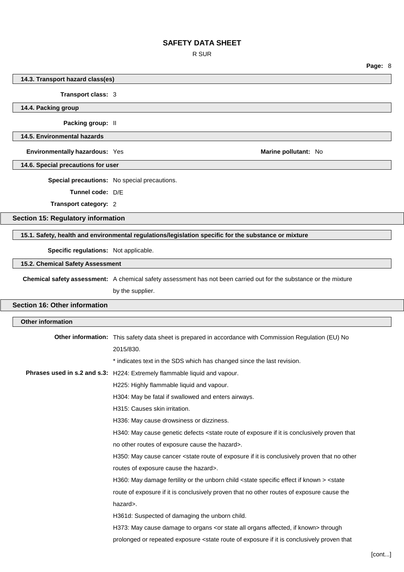R SUR

**14.3. Transport hazard class(es)**

**Transport class:** 3

**14.4. Packing group Packing group:** II **14.5. Environmental hazards Environmentally hazardous:** Yes **Marine pollutant:** No **Marine pollutant:** No **14.6. Special precautions for user Special precautions:** No special precautions. **Tunnel code:** D/E **Transport category:** 2 **Section 15: Regulatory information 15.1. Safety, health and environmental regulations/legislation specific for the substance or mixture Specific regulations:** Not applicable. **15.2. Chemical Safety Assessment Chemical safety assessment:** A chemical safety assessment has not been carried out for the substance or the mixture by the supplier. **Section 16: Other information Other information Other information:** This safety data sheet is prepared in accordance with Commission Regulation (EU) No 2015/830. \* indicates text in the SDS which has changed since the last revision. **Phrases used in s.2 and s.3:** H224: Extremely flammable liquid and vapour. H225: Highly flammable liquid and vapour. H304: May be fatal if swallowed and enters airways. H315: Causes skin irritation. H336: May cause drowsiness or dizziness. H340: May cause genetic defects <state route of exposure if it is conclusively proven that no other routes of exposure cause the hazard>. H350: May cause cancer <state route of exposure if it is conclusively proven that no other routes of exposure cause the hazard>. H360: May damage fertility or the unborn child <state specific effect if known > <state route of exposure if it is conclusively proven that no other routes of exposure cause the hazard>. H361d: Suspected of damaging the unborn child. H373: May cause damage to organs <or state all organs affected, if known> through prolonged or repeated exposure <state route of exposure if it is conclusively proven that

**Page:** 8